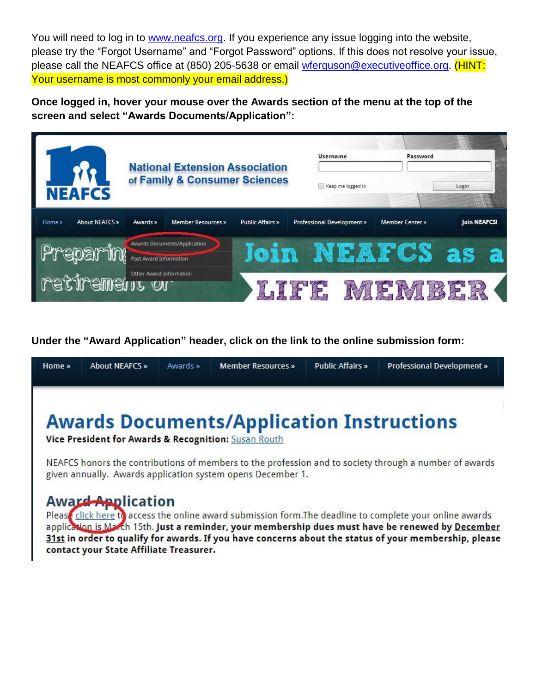You will need to log in to [www.neafcs.org.](http://www.neafcs.org/) If you experience any issue logging into the website, please try the "Forgot Username" and "Forgot Password" options. If this does not resolve your issue, please call the NEAFCS office at (850) 205-5638 or email [wferguson@executiveoffice.org.](mailto:wferguson@executiveoffice.org) (HINT: Your username is most commonly your email address.)

**Once logged in, hover your mouse over the Awards section of the menu at the top of the screen and select "Awards Documents/Application":**



**Under the "Award Application" header, click on the link to the online submission form:**

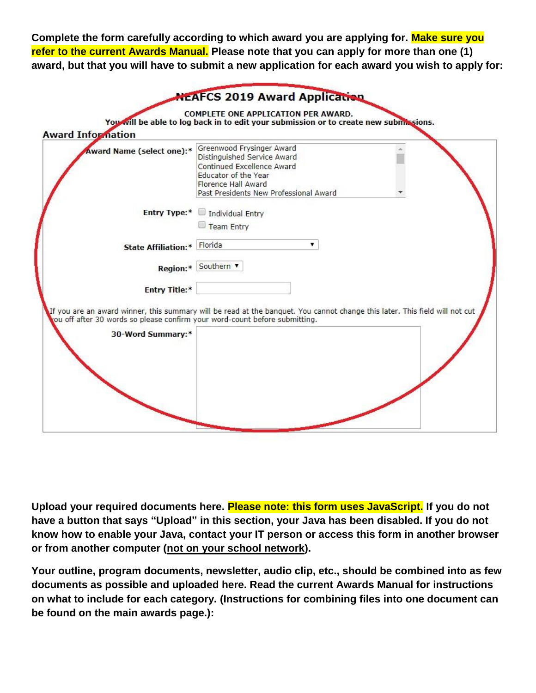**Complete the form carefully according to which award you are applying for. Make sure you refer to the current Awards Manual. Please note that you can apply for more than one (1) award, but that you will have to submit a new application for each award you wish to apply for:** 

| Award Name (select one):*                                                                        | Greenwood Frysinger Award<br>Distinguished Service Award<br>Continued Excellence Award<br>Educator of the Year<br>Florence Hall Award<br>Past Presidents New Professional Award |
|--------------------------------------------------------------------------------------------------|---------------------------------------------------------------------------------------------------------------------------------------------------------------------------------|
| <b>Entry Type:*</b>                                                                              | Individual Entry<br>Team Entry                                                                                                                                                  |
| State Affiliation:* Florida                                                                      |                                                                                                                                                                                 |
|                                                                                                  | Region:* Southern                                                                                                                                                               |
| <b>Entry Title:*</b>                                                                             | If you are an award winner, this summary will be read at the banquet. You cannot change this later. This field will not cut                                                     |
| tou off after 30 words so please confirm your word-count before submitting.<br>30-Word Summary:* |                                                                                                                                                                                 |
|                                                                                                  |                                                                                                                                                                                 |

**Upload your required documents here. Please note: this form uses JavaScript. If you do not have a button that says "Upload" in this section, your Java has been disabled. If you do not know how to enable your Java, contact your IT person or access this form in another browser or from another computer (not on your school network).**

**Your outline, program documents, newsletter, audio clip, etc., should be combined into as few documents as possible and uploaded here. Read the current Awards Manual for instructions on what to include for each category. (Instructions for combining files into one document can be found on the main awards page.):**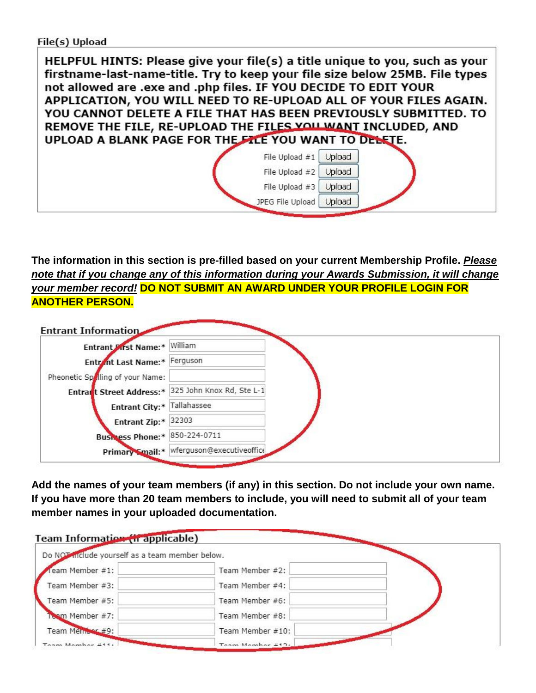## File(s) Upload

HELPFUL HINTS: Please give your file(s) a title unique to you, such as your firstname-last-name-title. Try to keep your file size below 25MB. File types not allowed are .exe and .php files. IF YOU DECIDE TO EDIT YOUR APPLICATION, YOU WILL NEED TO RE-UPLOAD ALL OF YOUR FILES AGAIN. YOU CANNOT DELETE A FILE THAT HAS BEEN PREVIOUSLY SUBMITTED. TO REMOVE THE FILE, RE-UPLOAD THE FILES YOU WANT INCLUDED, AND UPLOAD A BLANK PAGE FOR THE FILE YOU WANT TO DELETE. File Upload  $\#1$  Upload File Upload #2 Upload File Upload  $#3$  Upload

JPEG File Upload | Upload

**The information in this section is pre-filled based on your current Membership Profile.** *Please note that if you change any of this information during your Awards Submission, it will change your member record!* **DO NOT SUBMIT AN AWARD UNDER YOUR PROFILE LOGIN FOR ANOTHER PERSON.**

| Entrant Pirst Name:* William                       |                                           |  |  |
|----------------------------------------------------|-------------------------------------------|--|--|
| Entrant Last Name:* Ferguson                       |                                           |  |  |
| Pheonetic Spolling of your Name:                   |                                           |  |  |
| Entrant Street Address:* 325 John Knox Rd, Ste L-1 |                                           |  |  |
| Entrant City:* Tallahassee                         |                                           |  |  |
| Entrant Zip:* 32303                                |                                           |  |  |
| Business Phone:* 850-224-0711                      |                                           |  |  |
|                                                    | Primary Smail: * Werguson@executiveoffice |  |  |

**Add the names of your team members (if any) in this section. Do not include your own name. If you have more than 20 team members to include, you will need to submit all of your team member names in your uploaded documentation.**

| Team Information (in applicable)<br>Do NOT include yourself as a team member below. |                   |  |
|-------------------------------------------------------------------------------------|-------------------|--|
| eam Member #1:                                                                      | Team Member #2:   |  |
| Team Member #3:                                                                     | Team Member #4:   |  |
| Team Member #5:                                                                     | Team Member #6:   |  |
| Toom Member #7:                                                                     | Team Member #8:   |  |
| Team Member #9:                                                                     | Team Member #10:  |  |
| Tonny Momber 411.                                                                   | Tonny Mombor 417: |  |